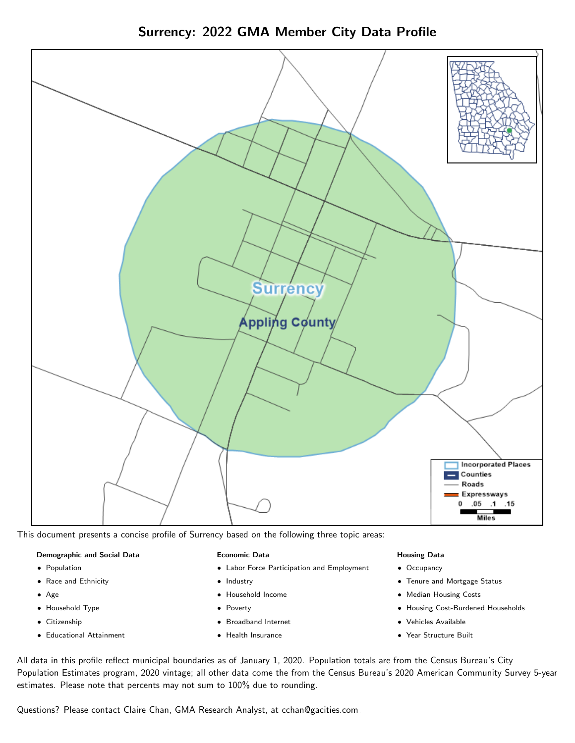



This document presents a concise profile of Surrency based on the following three topic areas:

#### Demographic and Social Data

- **•** Population
- Race and Ethnicity
- Age
- Household Type
- **Citizenship**
- Educational Attainment

#### Economic Data

- Labor Force Participation and Employment
- Industry
- Household Income
- Poverty
- Broadband Internet
- Health Insurance

#### Housing Data

- Occupancy
- Tenure and Mortgage Status
- Median Housing Costs
- Housing Cost-Burdened Households
- Vehicles Available
- Year Structure Built

All data in this profile reflect municipal boundaries as of January 1, 2020. Population totals are from the Census Bureau's City Population Estimates program, 2020 vintage; all other data come the from the Census Bureau's 2020 American Community Survey 5-year estimates. Please note that percents may not sum to 100% due to rounding.

Questions? Please contact Claire Chan, GMA Research Analyst, at [cchan@gacities.com.](mailto:cchan@gacities.com)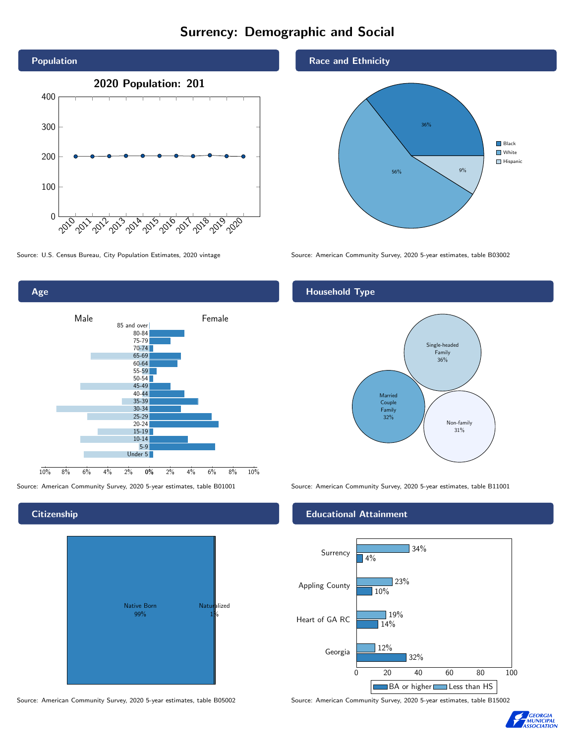# Surrency: Demographic and Social



0% 2% 4% 6% 8% 10% Male **Female** 10% 8% 6% 4% 2% 85 and over 80-84 75-79 70-74 65-69 60-64 55-59 50-54 45-49 40-44 35-39 30-34 25-29 20-24  $15-19$  $10-14$ 5-9 Under 5

### **Citizenship**

Age



Source: American Community Survey, 2020 5-year estimates, table B05002 Source: American Community Survey, 2020 5-year estimates, table B15002

#### Race and Ethnicity



Source: U.S. Census Bureau, City Population Estimates, 2020 vintage Source: American Community Survey, 2020 5-year estimates, table B03002

# Household Type



Source: American Community Survey, 2020 5-year estimates, table B01001 Source: American Community Survey, 2020 5-year estimates, table B11001

#### Educational Attainment



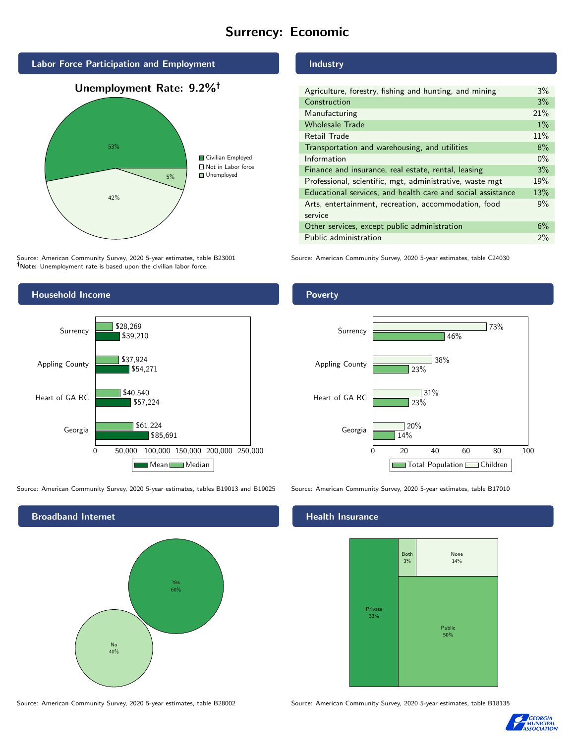# Surrency: Economic



Source: American Community Survey, 2020 5-year estimates, table B23001 Note: Unemployment rate is based upon the civilian labor force.



Source: American Community Survey, 2020 5-year estimates, tables B19013 and B19025 Source: American Community Survey, 2020 5-year estimates, table B17010



## Industry

| Agriculture, forestry, fishing and hunting, and mining      | 3%    |
|-------------------------------------------------------------|-------|
| Construction                                                | 3%    |
| Manufacturing                                               | 21%   |
| <b>Wholesale Trade</b>                                      | $1\%$ |
| Retail Trade                                                | 11%   |
| Transportation and warehousing, and utilities               | 8%    |
| Information                                                 | $0\%$ |
| Finance and insurance, real estate, rental, leasing         | 3%    |
| Professional, scientific, mgt, administrative, waste mgt    | 19%   |
| Educational services, and health care and social assistance | 13%   |
| Arts, entertainment, recreation, accommodation, food        | 9%    |
| service                                                     |       |
| Other services, except public administration                | 6%    |
| Public administration                                       | $2\%$ |

Source: American Community Survey, 2020 5-year estimates, table C24030

#### Poverty



#### Health Insurance



Source: American Community Survey, 2020 5-year estimates, table B28002 Source: American Community Survey, 2020 5-year estimates, table B18135